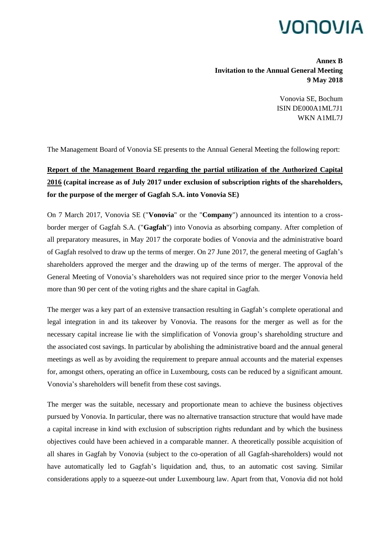## VONOVIA

**Annex B Invitation to the Annual General Meeting 9 May 2018**

> Vonovia SE, Bochum ISIN DE000A1ML7J1 WKN A1ML7J

The Management Board of Vonovia SE presents to the Annual General Meeting the following report:

## **Report of the Management Board regarding the partial utilization of the Authorized Capital 2016 (capital increase as of July 2017 under exclusion of subscription rights of the shareholders, for the purpose of the merger of Gagfah S.A. into Vonovia SE)**

On 7 March 2017, Vonovia SE ("**Vonovia**" or the "**Company**") announced its intention to a crossborder merger of Gagfah S.A. ("**Gagfah**") into Vonovia as absorbing company. After completion of all preparatory measures, in May 2017 the corporate bodies of Vonovia and the administrative board of Gagfah resolved to draw up the terms of merger. On 27 June 2017, the general meeting of Gagfah's shareholders approved the merger and the drawing up of the terms of merger. The approval of the General Meeting of Vonovia's shareholders was not required since prior to the merger Vonovia held more than 90 per cent of the voting rights and the share capital in Gagfah.

The merger was a key part of an extensive transaction resulting in Gagfah's complete operational and legal integration in and its takeover by Vonovia. The reasons for the merger as well as for the necessary capital increase lie with the simplification of Vonovia group's shareholding structure and the associated cost savings. In particular by abolishing the administrative board and the annual general meetings as well as by avoiding the requirement to prepare annual accounts and the material expenses for, amongst others, operating an office in Luxembourg, costs can be reduced by a significant amount. Vonovia's shareholders will benefit from these cost savings.

The merger was the suitable, necessary and proportionate mean to achieve the business objectives pursued by Vonovia. In particular, there was no alternative transaction structure that would have made a capital increase in kind with exclusion of subscription rights redundant and by which the business objectives could have been achieved in a comparable manner. A theoretically possible acquisition of all shares in Gagfah by Vonovia (subject to the co-operation of all Gagfah-shareholders) would not have automatically led to Gagfah's liquidation and, thus, to an automatic cost saving. Similar considerations apply to a squeeze-out under Luxembourg law. Apart from that, Vonovia did not hold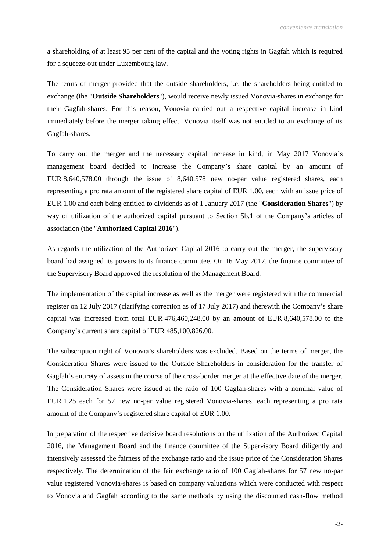a shareholding of at least 95 per cent of the capital and the voting rights in Gagfah which is required for a squeeze-out under Luxembourg law.

The terms of merger provided that the outside shareholders, i.e. the shareholders being entitled to exchange (the "**Outside Shareholders**"), would receive newly issued Vonovia-shares in exchange for their Gagfah-shares. For this reason, Vonovia carried out a respective capital increase in kind immediately before the merger taking effect. Vonovia itself was not entitled to an exchange of its Gagfah-shares.

To carry out the merger and the necessary capital increase in kind, in May 2017 Vonovia's management board decided to increase the Company's share capital by an amount of EUR 8,640,578.00 through the issue of 8,640,578 new no-par value registered shares, each representing a pro rata amount of the registered share capital of EUR 1.00, each with an issue price of EUR 1.00 and each being entitled to dividends as of 1 January 2017 (the "**Consideration Shares**") by way of utilization of the authorized capital pursuant to Section 5b.1 of the Company's articles of association (the "**Authorized Capital 2016**").

As regards the utilization of the Authorized Capital 2016 to carry out the merger, the supervisory board had assigned its powers to its finance committee. On 16 May 2017, the finance committee of the Supervisory Board approved the resolution of the Management Board.

The implementation of the capital increase as well as the merger were registered with the commercial register on 12 July 2017 (clarifying correction as of 17 July 2017) and therewith the Company's share capital was increased from total EUR 476,460,248.00 by an amount of EUR 8,640,578.00 to the Company's current share capital of EUR 485,100,826.00.

The subscription right of Vonovia's shareholders was excluded. Based on the terms of merger, the Consideration Shares were issued to the Outside Shareholders in consideration for the transfer of Gagfah's entirety of assets in the course of the cross-border merger at the effective date of the merger. The Consideration Shares were issued at the ratio of 100 Gagfah-shares with a nominal value of EUR 1.25 each for 57 new no-par value registered Vonovia-shares, each representing a pro rata amount of the Company's registered share capital of EUR 1.00.

In preparation of the respective decisive board resolutions on the utilization of the Authorized Capital 2016, the Management Board and the finance committee of the Supervisory Board diligently and intensively assessed the fairness of the exchange ratio and the issue price of the Consideration Shares respectively. The determination of the fair exchange ratio of 100 Gagfah-shares for 57 new no-par value registered Vonovia-shares is based on company valuations which were conducted with respect to Vonovia and Gagfah according to the same methods by using the discounted cash-flow method

-2-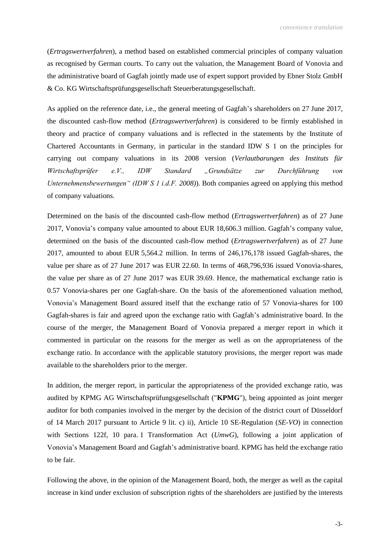(*Ertragswertverfahren*), a method based on established commercial principles of company valuation as recognised by German courts. To carry out the valuation, the Management Board of Vonovia and the administrative board of Gagfah jointly made use of expert support provided by Ebner Stolz GmbH & Co. KG Wirtschaftsprüfungsgesellschaft Steuerberatungsgesellschaft.

As applied on the reference date, i.e., the general meeting of Gagfah's shareholders on 27 June 2017, the discounted cash-flow method (*Ertragswertverfahren*) is considered to be firmly established in theory and practice of company valuations and is reflected in the statements by the Institute of Chartered Accountants in Germany, in particular in the standard IDW S 1 on the principles for carrying out company valuations in its 2008 version (*Verlautbarungen des Instituts für Wirtschaftsprüfer e.V., IDW Standard "Grundsätze zur Durchführung von Unternehmensbewertungen" (IDW S 1 i.d.F. 2008)*). Both companies agreed on applying this method of company valuations.

Determined on the basis of the discounted cash-flow method (*Ertragswertverfahren*) as of 27 June 2017, Vonovia's company value amounted to about EUR 18,606.3 million. Gagfah's company value, determined on the basis of the discounted cash-flow method (*Ertragswertverfahren*) as of 27 June 2017, amounted to about EUR 5,564.2 million. In terms of 246,176,178 issued Gagfah-shares, the value per share as of 27 June 2017 was EUR 22.60. In terms of 468,796,936 issued Vonovia-shares, the value per share as of 27 June 2017 was EUR 39.69. Hence, the mathematical exchange ratio is 0.57 Vonovia-shares per one Gagfah-share. On the basis of the aforementioned valuation method, Vonovia's Management Board assured itself that the exchange ratio of 57 Vonovia-shares for 100 Gagfah-shares is fair and agreed upon the exchange ratio with Gagfah's administrative board. In the course of the merger, the Management Board of Vonovia prepared a merger report in which it commented in particular on the reasons for the merger as well as on the appropriateness of the exchange ratio. In accordance with the applicable statutory provisions, the merger report was made available to the shareholders prior to the merger.

In addition, the merger report, in particular the appropriateness of the provided exchange ratio, was audited by KPMG AG Wirtschaftsprüfungsgesellschaft ("**KPMG**"), being appointed as joint merger auditor for both companies involved in the merger by the decision of the district court of Düsseldorf of 14 March 2017 pursuant to Article 9 lit. c) ii), Article 10 SE-Regulation (*SE-VO*) in connection with Sections 122f, 10 para. 1 Transformation Act (*UmwG*), following a joint application of Vonovia's Management Board and Gagfah's administrative board. KPMG has held the exchange ratio to be fair.

Following the above, in the opinion of the Management Board, both, the merger as well as the capital increase in kind under exclusion of subscription rights of the shareholders are justified by the interests